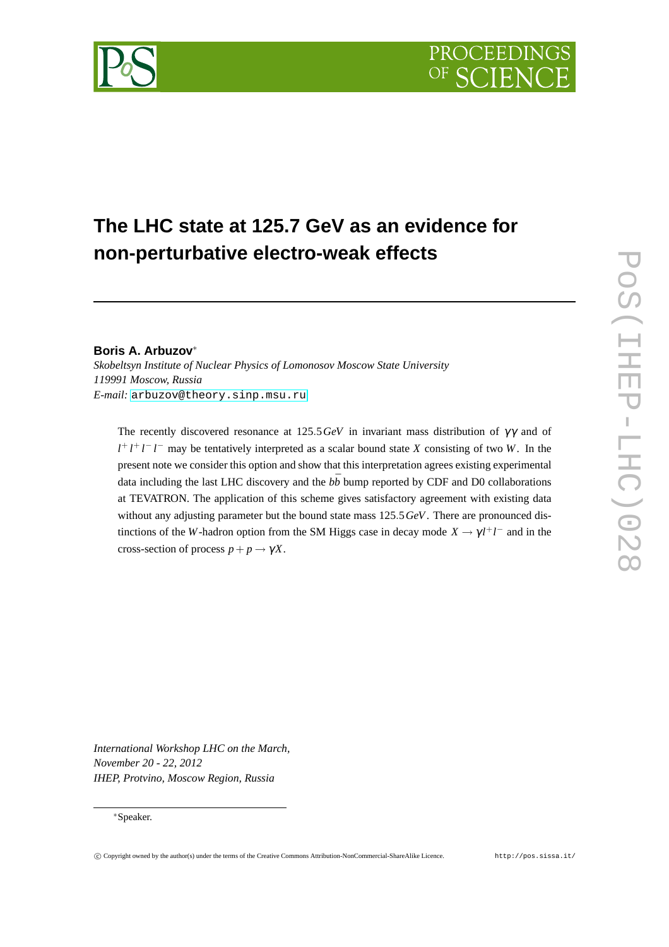

# **The LHC state at 125.7 GeV as an evidence for non-perturbative electro-weak effects**

### **Boris A. Arbuzov**<sup>∗</sup>

*Skobeltsyn Institute of Nuclear Physics of Lomonosov Moscow State University 119991 Moscow, Russia E-mail:* [arbuzov@theory.sinp.msu.ru](mailto:arbuzov@theory.sinp.msu.ru)

The recently discovered resonance at 125.5*GeV* in invariant mass distribution of  $\gamma\gamma$  and of *l*<sup>+</sup> *l*<sup>+</sup> *l*<sup>−</sup> *l*<sup>−</sup> may be tentatively interpreted as a scalar bound state *X* consisting of two *W*. In the present note we consider this option and show that this interpretation agrees existing experimental data including the last LHC discovery and the  $b\bar{b}$  bump reported by CDF and D0 collaborations at TEVATRON. The application of this scheme gives satisfactory agreement with existing data without any adjusting parameter but the bound state mass 125.5*GeV*. There are pronounced distinctions of the *W*-hadron option from the SM Higgs case in decay mode  $X \to \gamma l^+ l^-$  and in the cross-section of process  $p + p \rightarrow \gamma X$ .

*International Workshop LHC on the March, November 20 - 22, 2012 IHEP, Protvino, Moscow Region, Russia*

#### <sup>∗</sup>Speaker.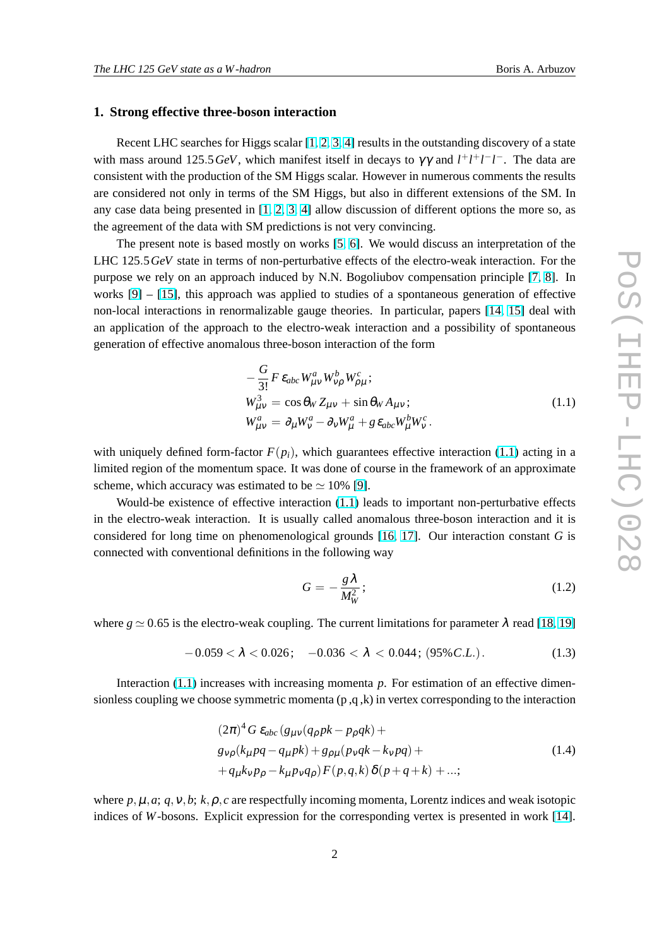#### <span id="page-1-0"></span>**1. Strong effective three-boson interaction**

Recent LHC searches for Higgs scalar  $[1, 2, 3, 4]$  $[1, 2, 3, 4]$  $[1, 2, 3, 4]$  $[1, 2, 3, 4]$  $[1, 2, 3, 4]$  $[1, 2, 3, 4]$  results in the outstanding discovery of a state with mass around 125.5*GeV*, which manifest itself in decays to  $\gamma\gamma$  and  $l^+l^+l^-l^-$ . The data are consistent with the production of the SM Higgs scalar. However in numerous comments the results are considered not only in terms of the SM Higgs, but also in different extensions of the SM. In any case data being presented in  $[1, 2, 3, 4]$  $[1, 2, 3, 4]$  $[1, 2, 3, 4]$  $[1, 2, 3, 4]$  $[1, 2, 3, 4]$  $[1, 2, 3, 4]$  $[1, 2, 3, 4]$  allow discussion of different options the more so, as the agreement of the data with SM predictions is not very convincing.

The present note is based mostly on works [\[5,](#page-9-0) [6\]](#page-9-0). We would discuss an interpretation of the LHC 125.5*GeV* state in terms of non-perturbative effects of the electro-weak interaction. For the purpose we rely on an approach induced by N.N. Bogoliubov compensation principle [\[7,](#page-9-0) [8\]](#page-9-0). In works  $[9] - [15]$  $[9] - [15]$ , this approach was applied to studies of a spontaneous generation of effective non-local interactions in renormalizable gauge theories. In particular, papers [\[14,](#page-9-0) [15\]](#page-9-0) deal with an application of the approach to the electro-weak interaction and a possibility of spontaneous generation of effective anomalous three-boson interaction of the form

$$
-\frac{G}{3!}F \,\varepsilon_{abc} W_{\mu\nu}^a W_{\nu\rho}^b W_{\rho\mu}^c; \nW_{\mu\nu}^3 = \cos \theta_W Z_{\mu\nu} + \sin \theta_W A_{\mu\nu}; \nW_{\mu\nu}^a = \partial_\mu W_\nu^a - \partial_\nu W_\mu^a + g \,\varepsilon_{abc} W_\mu^b W_\nu^c.
$$
\n(1.1)

with uniquely defined form-factor  $F(p_i)$ , which guarantees effective interaction (1.1) acting in a limited region of the momentum space. It was done of course in the framework of an approximate scheme, which accuracy was estimated to be  $\simeq 10\%$  [\[9\]](#page-9-0).

Would-be existence of effective interaction (1.1) leads to important non-perturbative effects in the electro-weak interaction. It is usually called anomalous three-boson interaction and it is considered for long time on phenomenological grounds [\[16,](#page-9-0) [17\]](#page-9-0). Our interaction constant *G* is connected with conventional definitions in the following way

$$
G = -\frac{g\lambda}{M_W^2};\tag{1.2}
$$

where  $g \approx 0.65$  is the electro-weak coupling. The current limitations for parameter  $\lambda$  read [\[18,](#page-9-0) [19\]](#page-9-0)

$$
-0.059 < \lambda < 0.026; \quad -0.036 < \lambda < 0.044; \ (95\% \, C.L.). \tag{1.3}
$$

Interaction (1.1) increases with increasing momenta *p*. For estimation of an effective dimensionless coupling we choose symmetric momenta  $(p, q, k)$  in vertex corresponding to the interaction

$$
(2\pi)^4 G \varepsilon_{abc} (g_{\mu\nu} (q_\rho p k - p_\rho q k) +g_{\nu\rho} (k_\mu p q - q_\mu p k) + g_{\rho\mu} (p_\nu q k - k_\nu p q) ++ q_\mu k_\nu p_\rho - k_\mu p_\nu q_\rho) F(p, q, k) \delta(p + q + k) + ...;
$$
\n(1.4)

where  $p, \mu, a$ ;  $q, \nu, b$ ;  $k, \rho, c$  are respectfully incoming momenta, Lorentz indices and weak isotopic indices of *W*-bosons. Explicit expression for the corresponding vertex is presented in work [\[14\]](#page-9-0).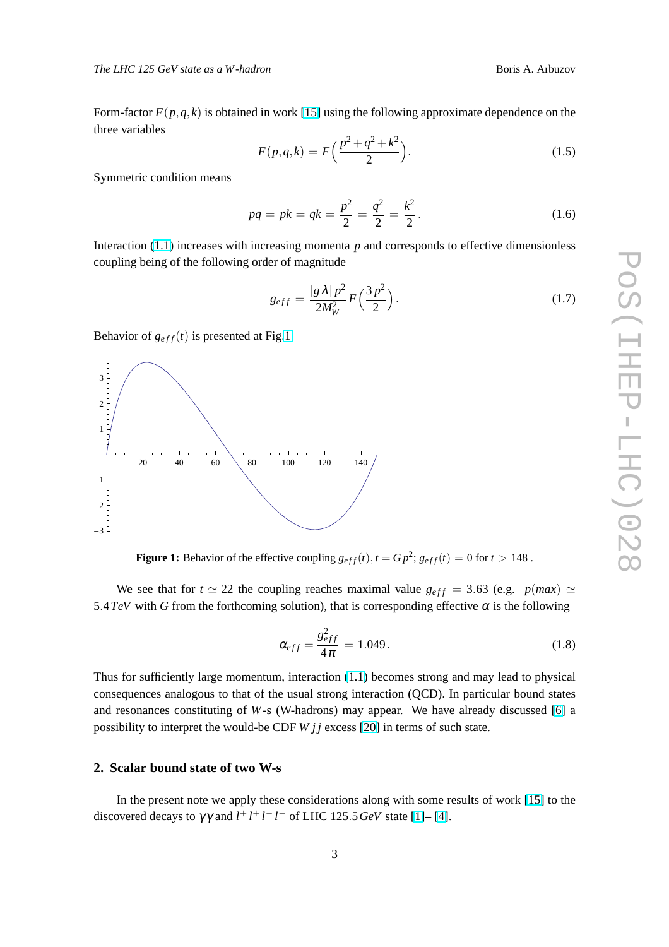Form-factor  $F(p,q,k)$  is obtained in work [\[15\]](#page-9-0) using the following approximate dependence on the three variables

$$
F(p,q,k) = F\left(\frac{p^2 + q^2 + k^2}{2}\right).
$$
 (1.5)

Symmetric condition means

$$
pq = pk = qk = \frac{p^2}{2} = \frac{q^2}{2} = \frac{k^2}{2}.
$$
\n(1.6)

Interaction [\(1.1\)](#page-1-0) increases with increasing momenta *p* and corresponds to effective dimensionless coupling being of the following order of magnitude

$$
g_{eff} = \frac{|g\lambda|p^2}{2M_W^2} F\left(\frac{3p^2}{2}\right). \tag{1.7}
$$

Behavior of  $g_{eff}(t)$  is presented at Fig.1.



**Figure 1:** Behavior of the effective coupling  $g_{eff}(t)$ ,  $t = Gp^2$ ;  $g_{eff}(t) = 0$  for  $t > 148$ .

We see that for  $t \approx 22$  the coupling reaches maximal value  $g_{eff} = 3.63$  (e.g. *p*(*max*)  $\simeq$ 5.4*TeV* with *G* from the forthcoming solution), that is corresponding effective  $\alpha$  is the following

$$
\alpha_{eff} = \frac{g_{eff}^2}{4\pi} = 1.049. \tag{1.8}
$$

Thus for sufficiently large momentum, interaction [\(1.1\)](#page-1-0) becomes strong and may lead to physical consequences analogous to that of the usual strong interaction (QCD). In particular bound states and resonances constituting of *W*-s (W-hadrons) may appear. We have already discussed [\[6\]](#page-9-0) a possibility to interpret the would-be CDF *W j j* excess [\[20\]](#page-9-0) in terms of such state.

# **2. Scalar bound state of two W-s**

In the present note we apply these considerations along with some results of work [\[15\]](#page-9-0) to the discovered decays to  $\gamma \gamma$  and  $l^+ l^+ l^- l^-$  of LHC 125.5 GeV state [\[1\]](#page-9-0)– [\[4\]](#page-9-0).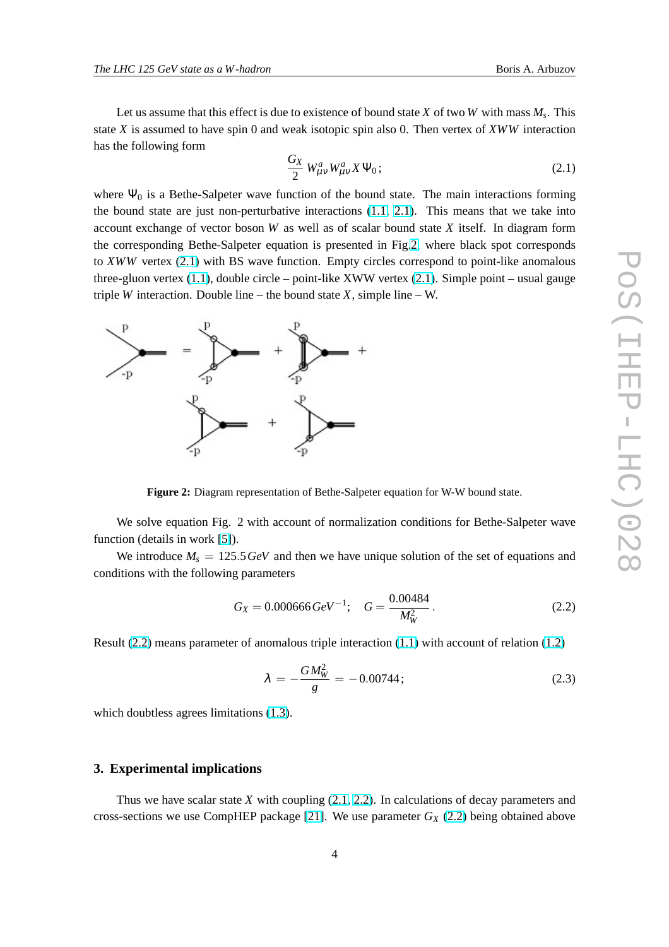<span id="page-3-0"></span>Let us assume that this effect is due to existence of bound state *X* of two *W* with mass *M<sup>s</sup>* . This state *X* is assumed to have spin 0 and weak isotopic spin also 0. Then vertex of *XWW* interaction has the following form

$$
\frac{G_X}{2} W^a_{\mu\nu} W^a_{\mu\nu} X \Psi_0; \tag{2.1}
$$

where  $\Psi_0$  is a Bethe-Salpeter wave function of the bound state. The main interactions forming the bound state are just non-perturbative interactions [\(1.1,](#page-1-0) 2.1). This means that we take into account exchange of vector boson *W* as well as of scalar bound state *X* itself. In diagram form the corresponding Bethe-Salpeter equation is presented in Fig.2, where black spot corresponds to *XWW* vertex (2.1) with BS wave function. Empty circles correspond to point-like anomalous three-gluon vertex [\(1.1\)](#page-1-0), double circle – point-like XWW vertex (2.1). Simple point – usual gauge triple *W* interaction. Double line – the bound state *X*, simple line – W.



**Figure 2:** Diagram representation of Bethe-Salpeter equation for W-W bound state.

We solve equation Fig. 2 with account of normalization conditions for Bethe-Salpeter wave function (details in work [\[5\]](#page-9-0)).

We introduce  $M_s = 125.5 \text{ GeV}$  and then we have unique solution of the set of equations and conditions with the following parameters

$$
G_X = 0.000666 \, GeV^{-1}; \quad G = \frac{0.00484}{M_W^2} \,. \tag{2.2}
$$

Result (2.2) means parameter of anomalous triple interaction [\(1.1\)](#page-1-0) with account of relation [\(1.2\)](#page-1-0)

$$
\lambda = -\frac{GM_W^2}{g} = -0.00744; \tag{2.3}
$$

which doubtless agrees limitations  $(1.3)$ .

## **3. Experimental implications**

Thus we have scalar state *X* with coupling (2.1, 2.2). In calculations of decay parameters and cross-sections we use CompHEP package [\[21\]](#page-9-0). We use parameter  $G_X$  (2.2) being obtained above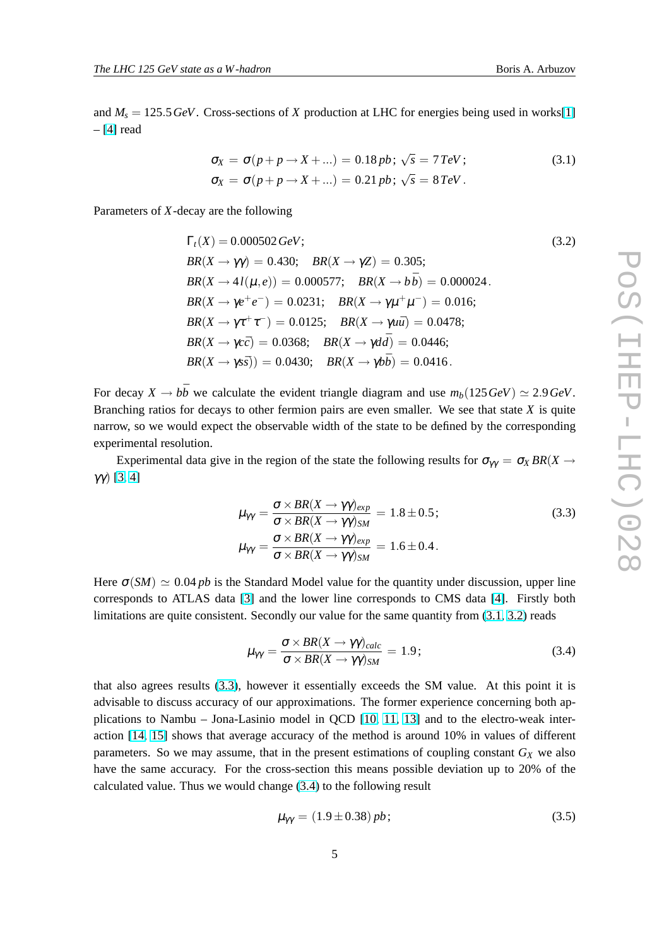<span id="page-4-0"></span>and  $M_s = 125.5 \text{ GeV}$ . Cross-sections of *X* production at LHC for energies being used in works[\[1\]](#page-9-0)  $-$  [\[4\]](#page-9-0) read

$$
\sigma_X = \sigma(p + p \to X + ...) = 0.18 pb; \sqrt{s} = 7 TeV; \n\sigma_X = \sigma(p + p \to X + ...) = 0.21 pb; \sqrt{s} = 8 TeV.
$$
\n(3.1)

Parameters of *X*-decay are the following

$$
\Gamma_t(X) = 0.000502 \, GeV; \nBR(X \to \gamma \gamma) = 0.430; BR(X \to \gamma Z) = 0.305; \nBR(X \to 4I(\mu, e)) = 0.000577; BR(X \to b\bar{b}) = 0.000024.
$$
\n
$$
BR(X \to \gamma e^+ e^-) = 0.0231; BR(X \to \gamma \mu^+ \mu^-) = 0.016; \nBR(X \to \gamma \tau^+ \tau^-) = 0.0125; BR(X \to \gamma u\bar{u}) = 0.0478; \nBR(X \to \gamma c\bar{c}) = 0.0368; BR(X \to \gamma d\bar{d}) = 0.0446; \nBR(X \to \gamma s\bar{s}) = 0.0430; BR(X \to \gamma b\bar{b}) = 0.0416.
$$
\n(3.2)

For decay  $X \rightarrow b\bar{b}$  we calculate the evident triangle diagram and use  $m_b(125 \text{ GeV}) \simeq 2.9 \text{ GeV}$ . Branching ratios for decays to other fermion pairs are even smaller. We see that state *X* is quite narrow, so we would expect the observable width of the state to be defined by the corresponding experimental resolution.

Experimental data give in the region of the state the following results for  $\sigma_{\gamma\gamma} = \sigma_X BR(X \to Y)$ γγ) [\[3,](#page-9-0) [4\]](#page-9-0)

$$
\mu_{\gamma\gamma} = \frac{\sigma \times BR(X \to \gamma \gamma)_{exp}}{\sigma \times BR(X \to \gamma \gamma)_{SM}} = 1.8 \pm 0.5; \tag{3.3}
$$
\n
$$
\mu_{\gamma\gamma} = \frac{\sigma \times BR(X \to \gamma \gamma)_{exp}}{\sigma \times BR(X \to \gamma \gamma)_{SM}} = 1.6 \pm 0.4.
$$

Here  $\sigma(SM) \simeq 0.04$  *pb* is the Standard Model value for the quantity under discussion, upper line corresponds to ATLAS data [\[3\]](#page-9-0) and the lower line corresponds to CMS data [\[4\]](#page-9-0). Firstly both limitations are quite consistent. Secondly our value for the same quantity from (3.1, 3.2) reads

$$
\mu_{\gamma\gamma} = \frac{\sigma \times BR(X \to \gamma \gamma)_{calc}}{\sigma \times BR(X \to \gamma \gamma)_{SM}} = 1.9; \tag{3.4}
$$

that also agrees results (3.3), however it essentially exceeds the SM value. At this point it is advisable to discuss accuracy of our approximations. The former experience concerning both applications to Nambu – Jona-Lasinio model in QCD [\[10,](#page-9-0) [11,](#page-9-0) [13\]](#page-9-0) and to the electro-weak interaction [\[14,](#page-9-0) [15\]](#page-9-0) shows that average accuracy of the method is around 10% in values of different parameters. So we may assume, that in the present estimations of coupling constant  $G_X$  we also have the same accuracy. For the cross-section this means possible deviation up to 20% of the calculated value. Thus we would change (3.4) to the following result

$$
\mu_{\gamma\gamma} = (1.9 \pm 0.38) pb; \tag{3.5}
$$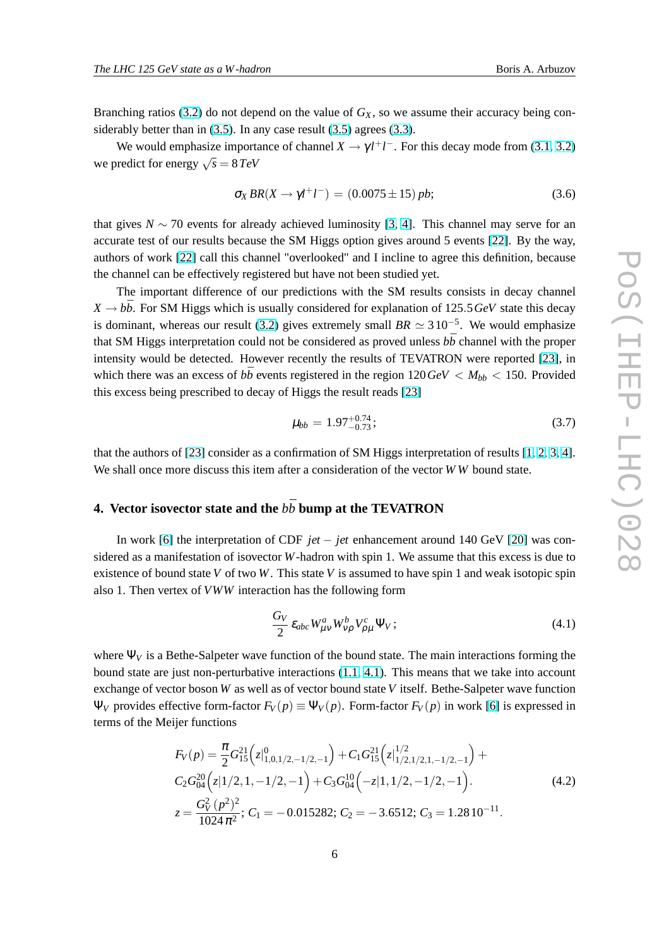<span id="page-5-0"></span>Branching ratios [\(3.2\)](#page-4-0) do not depend on the value of  $G_X$ , so we assume their accuracy being considerably better than in [\(3.5\)](#page-4-0). In any case result [\(3.5\)](#page-4-0) agrees [\(3.3\)](#page-4-0).

We would emphasize importance of channel  $X \to \gamma l^+ l^-$ . For this decay mode from [\(3.1,](#page-4-0) [3.2\)](#page-4-0) we predict for energy  $\sqrt{s} = 8 \text{ TeV}$ 

$$
\sigma_X BR(X \to \gamma l^+ l^-) = (0.0075 \pm 15) pb; \tag{3.6}
$$

that gives *N* ∼ 70 events for already achieved luminosity [\[3,](#page-9-0) [4\]](#page-9-0). This channel may serve for an accurate test of our results because the SM Higgs option gives around 5 events [\[22\]](#page-9-0). By the way, authors of work [\[22\]](#page-9-0) call this channel "overlooked" and I incline to agree this definition, because the channel can be effectively registered but have not been studied yet.

The important difference of our predictions with the SM results consists in decay channel  $X \rightarrow b\bar{b}$ . For SM Higgs which is usually considered for explanation of 125.5*GeV* state this decay is dominant, whereas our result [\(3.2\)](#page-4-0) gives extremely small  $BR \simeq 310^{-5}$ . We would emphasize that SM Higgs interpretation could not be considered as proved unless  $b\bar{b}$  channel with the proper intensity would be detected. However recently the results of TEVATRON were reported [\[23\]](#page-9-0), in which there was an excess of  $b\bar{b}$  events registered in the region  $120\,\text{GeV} < M_{bb} < 150$ . Provided this excess being prescribed to decay of Higgs the result reads [\[23\]](#page-9-0)

$$
\mu_{bb} = 1.97^{+0.74}_{-0.73};\tag{3.7}
$$

that the authors of [\[23\]](#page-9-0) consider as a confirmation of SM Higgs interpretation of results [\[1,](#page-9-0) [2,](#page-9-0) [3,](#page-9-0) [4\]](#page-9-0). We shall once more discuss this item after a consideration of the vector *W W* bound state.

# **4. Vector isovector state and the**  $b\bar{b}$  bump at the TEVATRON

In work [\[6\]](#page-9-0) the interpretation of CDF *jet* − *jet* enhancement around 140 GeV [\[20\]](#page-9-0) was considered as a manifestation of isovector *W*-hadron with spin 1. We assume that this excess is due to existence of bound state *V* of two *W*. This state *V* is assumed to have spin 1 and weak isotopic spin also 1. Then vertex of *VWW* interaction has the following form

$$
\frac{G_V}{2} \varepsilon_{abc} W^a_{\mu\nu} W^b_{\nu\rho} V^c_{\rho\mu} \Psi_V ; \qquad (4.1)
$$

where  $\Psi_V$  is a Bethe-Salpeter wave function of the bound state. The main interactions forming the bound state are just non-perturbative interactions [\(1.1,](#page-1-0) 4.1). This means that we take into account exchange of vector boson *W* as well as of vector bound state *V* itself. Bethe-Salpeter wave function  $Ψ<sub>V</sub>$  provides effective form-factor  $F<sub>V</sub>(p) \equiv Ψ<sub>V</sub>(p)$ . Form-factor  $F<sub>V</sub>(p)$  in work [\[6\]](#page-9-0) is expressed in terms of the Meijer functions

$$
F_V(p) = \frac{\pi}{2} G_{15}^{21} (z|_{1,0,1/2,-1/2,-1}^{0}) + C_1 G_{15}^{21} (z|_{1/2,1/2,1,-1/2,-1}^{1/2}) + C_2 G_{04}^{20} (z|1/2,1,-1/2,-1) + C_3 G_{04}^{10} (-z|1,1/2,-1/2,-1).
$$
\n
$$
z = \frac{G_V^2 (p^2)^2}{1024 \pi^2}; C_1 = -0.015282; C_2 = -3.6512; C_3 = 1.2810^{-11}.
$$
\n(4.2)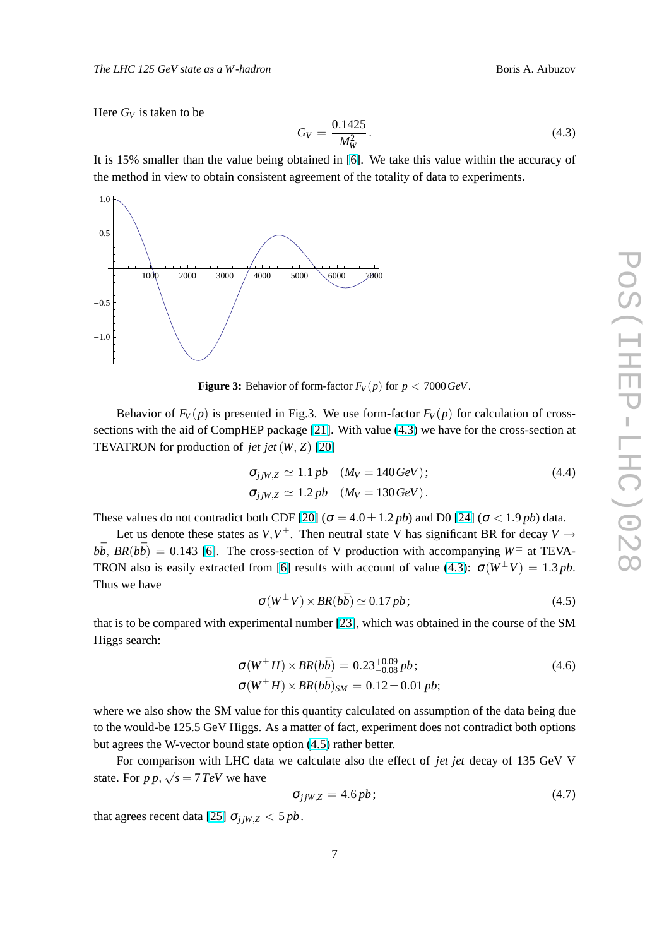<span id="page-6-0"></span>Here  $G_V$  is taken to be

$$
G_V = \frac{0.1425}{M_W^2}.
$$
\n(4.3)

It is 15% smaller than the value being obtained in [\[6\]](#page-9-0). We take this value within the accuracy of the method in view to obtain consistent agreement of the totality of data to experiments.



**Figure 3:** Behavior of form-factor  $F_V(p)$  for  $p < 7000 \text{ GeV}$ .

Behavior of  $F_V(p)$  is presented in Fig.3. We use form-factor  $F_V(p)$  for calculation of crosssections with the aid of CompHEP package [\[21\]](#page-9-0). With value (4.3) we have for the cross-section at TEVATRON for production of *jet jet*(*W*, *Z*) [\[20\]](#page-9-0)

$$
\sigma_{jjW,Z} \simeq 1.1 pb \quad (M_V = 140 \, GeV);
$$
\n
$$
\sigma_{jjW,Z} \simeq 1.2 pb \quad (M_V = 130 \, GeV).
$$
\n(4.4)

These values do not contradict both CDF [\[20\]](#page-9-0) ( $\sigma = 4.0 \pm 1.2$  *pb*) and D0 [\[24\]](#page-9-0) ( $\sigma < 1.9$  *pb*) data.

Let us denote these states as  $V, V^{\pm}$ . Then neutral state V has significant BR for decay  $V \rightarrow$  $b\bar{b}$ , *BR*( $b\bar{b}$ ) = 0.143 [\[6\]](#page-9-0). The cross-section of V production with accompanying  $W^{\pm}$  at TEVA-TRON also is easily extracted from [\[6\]](#page-9-0) results with account of value (4.3):  $\sigma(W^{\pm}V) = 1.3 \text{ pb}$ . Thus we have

$$
\sigma(W^{\pm} V) \times BR(b\bar{b}) \simeq 0.17 \, pb \, ; \tag{4.5}
$$

that is to be compared with experimental number [\[23\]](#page-9-0), which was obtained in the course of the SM Higgs search:

$$
\sigma(W^{\pm} H) \times BR(b\bar{b}) = 0.23^{+0.09}_{-0.08} pb; \n\sigma(W^{\pm} H) \times BR(b\bar{b})_{SM} = 0.12 \pm 0.01 pb; \qquad (4.6)
$$

where we also show the SM value for this quantity calculated on assumption of the data being due to the would-be 125.5 GeV Higgs. As a matter of fact, experiment does not contradict both options but agrees the W-vector bound state option (4.5) rather better.

For comparison with LHC data we calculate also the effect of *jet jet* decay of 135 GeV V state. For  $p p$ ,  $\sqrt{s} = 7 TeV$  we have

$$
\sigma_{jjW,Z} = 4.6 pb; \tag{4.7}
$$

that agrees recent data [\[25\]](#page-9-0)  $\sigma_{ijW,Z}$  < 5 *pb*.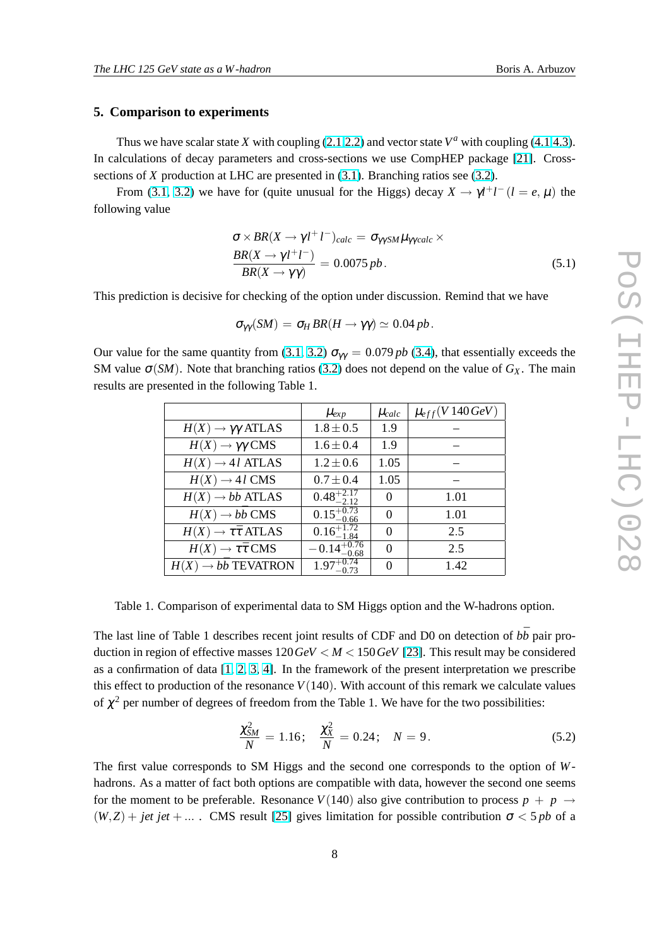#### **5. Comparison to experiments**

Thus we have scalar state *X* with coupling [\(2.1,2.2\)](#page-3-0) and vector state  $V^a$  with coupling [\(4.1](#page-5-0)[,4.3\)](#page-6-0). In calculations of decay parameters and cross-sections we use CompHEP package [\[21\]](#page-9-0). Crosssections of *X* production at LHC are presented in [\(3.1\)](#page-4-0). Branching ratios see [\(3.2\)](#page-4-0).

From [\(3.1,](#page-4-0) [3.2\)](#page-4-0) we have for (quite unusual for the Higgs) decay  $X \to \gamma l^+l^-(l = e, \mu)$  the following value

$$
\sigma \times BR(X \to \gamma l^+ l^-)_{calc} = \sigma_{\gamma\gamma SM} \mu_{\gamma \gamma calc} \times
$$
  
\n
$$
\frac{BR(X \to \gamma l^+ l^-)}{BR(X \to \gamma \gamma)} = 0.0075 pb.
$$
 (5.1)

This prediction is decisive for checking of the option under discussion. Remind that we have

$$
\sigma_{\gamma\gamma}(SM) = \sigma_H BR(H \to \gamma\gamma) \simeq 0.04 \, pb.
$$

Our value for the same quantity from [\(3.1,](#page-4-0) [3.2\)](#page-4-0)  $\sigma_{\gamma\gamma} = 0.079 pb$  [\(3.4\)](#page-4-0), that essentially exceeds the SM value  $\sigma(SM)$ . Note that branching ratios [\(3.2\)](#page-4-0) does not depend on the value of  $G_X$ . The main results are presented in the following Table 1.

|                                        | $\mu_{exp}$             | $\mu_{calc}$ | $\mu_{eff}(V140\,GeV)$ |
|----------------------------------------|-------------------------|--------------|------------------------|
| $H(X) \rightarrow \gamma \gamma$ ATLAS | $1.8 \pm 0.5$           | 1.9          |                        |
| $H(X) \rightarrow \gamma \gamma$ CMS   | $1.6 \pm 0.4$           | 1.9          |                        |
| $H(X) \rightarrow 4l$ ATLAS            | $1.2 \pm 0.6$           | 1.05         |                        |
| $H(X) \rightarrow 4l$ CMS              | $0.7 \pm 0.4$           | 1.05         |                        |
| $H(X) \rightarrow b\bar{b}$ ATLAS      | $0.48^{+2.17}_{-2.12}$  | $\Omega$     | 1.01                   |
| $H(X) \rightarrow b\bar{b}$ CMS        | $0.15^{+0.73}_{-0.66}$  | $\Omega$     | 1.01                   |
| $H(X) \to \tau \bar{\tau}$ ATLAS       | $0.16_{-1.84}^{+1.72}$  | $\theta$     | 2.5                    |
| $H(X) \to \tau \bar{\tau}$ CMS         | $-0.14_{-0.68}^{+0.76}$ | $\Omega$     | 2.5                    |
| $H(X) \rightarrow b\bar{b}$ TEVATRON   | $1.97^{+0.74}_{-0.73}$  | $\Omega$     | 1.42                   |

Table 1. Comparison of experimental data to SM Higgs option and the W-hadrons option.

The last line of Table 1 describes recent joint results of CDF and D0 on detection of  $b\bar{b}$  pair production in region of effective masses  $120 \text{ GeV} < M < 150 \text{ GeV}$  [\[23\]](#page-9-0). This result may be considered as a confirmation of data  $[1, 2, 3, 4]$  $[1, 2, 3, 4]$  $[1, 2, 3, 4]$  $[1, 2, 3, 4]$  $[1, 2, 3, 4]$  $[1, 2, 3, 4]$ . In the framework of the present interpretation we prescribe this effect to production of the resonance  $V(140)$ . With account of this remark we calculate values of  $\chi^2$  per number of degrees of freedom from the Table 1. We have for the two possibilities:

$$
\frac{\chi_{SM}^2}{N} = 1.16; \quad \frac{\chi_X^2}{N} = 0.24; \quad N = 9. \tag{5.2}
$$

The first value corresponds to SM Higgs and the second one corresponds to the option of *W*hadrons. As a matter of fact both options are compatible with data, however the second one seems for the moment to be preferable. Resonance  $V(140)$  also give contribution to process  $p + p \rightarrow$  $(W, Z)$  + *jet jet* + ... . CMS result [\[25\]](#page-9-0) gives limitation for possible contribution  $\sigma < 5$  *pb* of a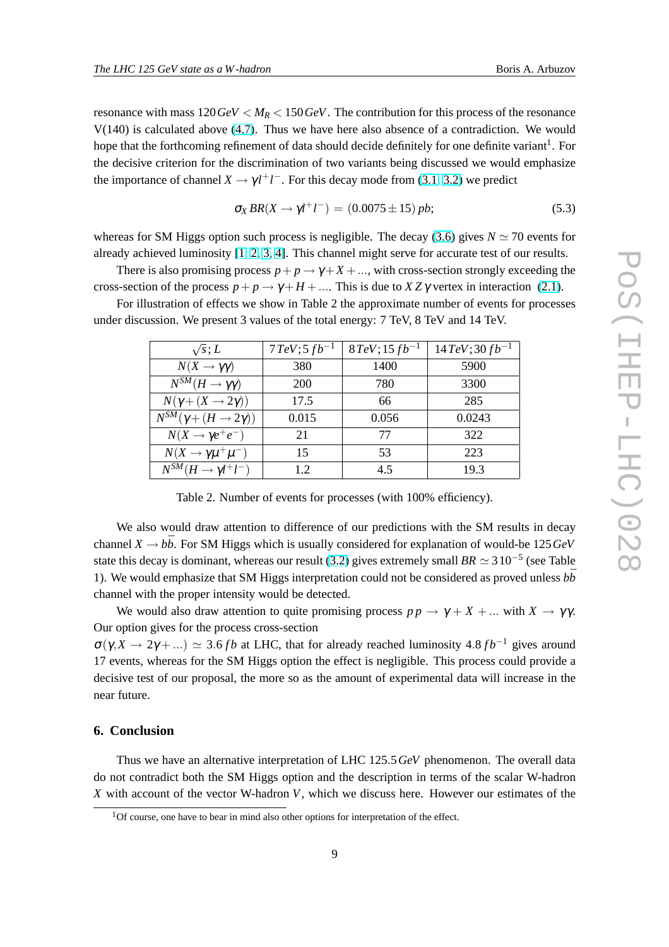resonance with mass  $120 \text{ GeV} < M_R < 150 \text{ GeV}$ . The contribution for this process of the resonance V(140) is calculated above [\(4.7\)](#page-6-0). Thus we have here also absence of a contradiction. We would hope that the forthcoming refinement of data should decide definitely for one definite variant<sup>1</sup>. For the decisive criterion for the discrimination of two variants being discussed we would emphasize the importance of channel  $X \to \gamma l^+ l^-$ . For this decay mode from [\(3.1,](#page-4-0) [3.2\)](#page-4-0) we predict

$$
\sigma_X BR(X \to \gamma l^+ l^-) = (0.0075 \pm 15) pb; \tag{5.3}
$$

whereas for SM Higgs option such process is negligible. The decay [\(3.6\)](#page-5-0) gives  $N \approx 70$  events for already achieved luminosity [\[1,](#page-9-0) [2,](#page-9-0) [3,](#page-9-0) [4\]](#page-9-0). This channel might serve for accurate test of our results.

There is also promising process  $p + p \rightarrow \gamma + X + ...$ , with cross-section strongly exceeding the cross-section of the process  $p + p \rightarrow \gamma + H + \dots$ . This is due to  $XZ\gamma$  vertex in interaction [\(2.1\)](#page-3-0).

For illustration of effects we show in Table 2 the approximate number of events for processes under discussion. We present 3 values of the total energy: 7 TeV, 8 TeV and 14 TeV.

| $\sqrt{s}$ ; L                             | $7 TeV; 5 fb^{-1}$ | $8 TeV$ ; 15 $fb^{-1}$ | $14 TeV$ ; 30 $fb^{-1}$ |
|--------------------------------------------|--------------------|------------------------|-------------------------|
| $N(X \to \gamma \gamma)$                   | 380                | 1400                   | 5900                    |
| $N^{SM}(H\to\gamma\gamma)$                 | 200                | 780                    | 3300                    |
| $N(\gamma + (X \rightarrow 2\gamma))$      | 17.5               | 66                     | 285                     |
| $N^{SM}(\gamma + (H \rightarrow 2\gamma))$ | 0.015              | 0.056                  | 0.0243                  |
| $N(X \rightarrow \gamma e^+e^-)$           | 21                 | 77                     | 322                     |
| $N(X \to \gamma \mu^+ \mu^-)$              | 15                 | 53                     | 223                     |
| $N^{SM}(H \to \gamma l^+l^-)$              | 12                 | 45                     | 19.3                    |

Table 2. Number of events for processes (with 100% efficiency).

We also would draw attention to difference of our predictions with the SM results in decay channel  $X \to b\bar{b}$ . For SM Higgs which is usually considered for explanation of would-be 125*GeV* state this decay is dominant, whereas our result [\(3.2\)](#page-4-0) gives extremely small  $BR \simeq 3\,10^{-5}$  (see Table 1). We would emphasize that SM Higgs interpretation could not be considered as proved unless  $b\bar{b}$ channel with the proper intensity would be detected.

We would also draw attention to quite promising process  $p p \rightarrow \gamma + X + ...$  with  $X \rightarrow \gamma \gamma$ . Our option gives for the process cross-section

 $\sigma(\gamma, X \to 2\gamma + ...) \simeq 3.6 fb$  at LHC, that for already reached luminosity 4.8  $fb^{-1}$  gives around 17 events, whereas for the SM Higgs option the effect is negligible. This process could provide a decisive test of our proposal, the more so as the amount of experimental data will increase in the near future.

# **6. Conclusion**

Thus we have an alternative interpretation of LHC 125.5*GeV* phenomenon. The overall data do not contradict both the SM Higgs option and the description in terms of the scalar W-hadron *X* with account of the vector W-hadron *V*, which we discuss here. However our estimates of the

<sup>&</sup>lt;sup>1</sup>Of course, one have to bear in mind also other options for interpretation of the effect.